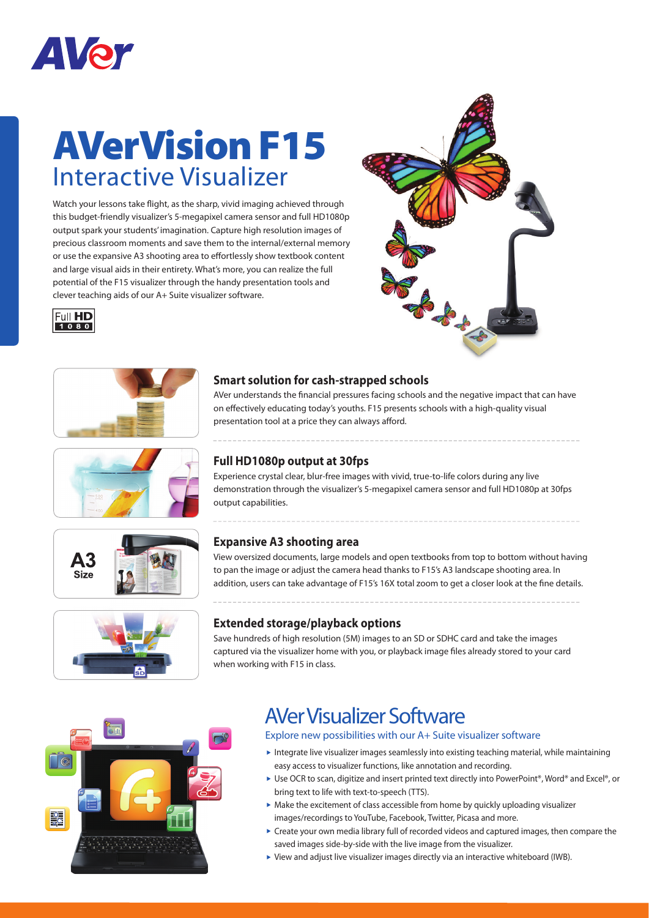

## **AVerVision F15** Interactive Visualizer

Watch your lessons take flight, as the sharp, vivid imaging achieved through this budget-friendly visualizer's 5-megapixel camera sensor and full HD1080p output spark your students' imagination. Capture high resolution images of precious classroom moments and save them to the internal/external memory or use the expansive A3 shooting area to effortlessly show textbook content and large visual aids in their entirety. What's more, you can realize the full potential of the F15 visualizer through the handy presentation tools and clever teaching aids of our A+ Suite visualizer software.













### **Smart solution for cash-strapped schools**

AVer understands the financial pressures facing schools and the negative impact that can have on effectively educating today's youths. F15 presents schools with a high-quality visual presentation tool at a price they can always afford.

#### **Full HD1080p output at 30fps**

Experience crystal clear, blur-free images with vivid, true-to-life colors during any live demonstration through the visualizer's 5-megapixel camera sensor and full HD1080p at 30fps output capabilities.

### **Expansive A3 shooting area**

View oversized documents, large models and open textbooks from top to bottom without having to pan the image or adjust the camera head thanks to F15's A3 landscape shooting area. In addition, users can take advantage of F15's 16X total zoom to get a closer look at the fine details.

#### **Extended storage/playback options**

Save hundreds of high resolution (5M) images to an SD or SDHC card and take the images captured via the visualizer home with you, or playback image files already stored to your card when working with F15 in class.



### AVer Visualizer Software

Explore new possibilities with our A+ Suite visualizer software

- Integrate live visualizer images seamlessly into existing teaching material, while maintaining easy access to visualizer functions, like annotation and recording.
- ▶ Use OCR to scan, digitize and insert printed text directly into PowerPoint®, Word® and Excel®, or bring text to life with text-to-speech (TTS).
- $\triangleright$  Make the excitement of class accessible from home by quickly uploading visualizer images/recordings to YouTube, Facebook, Twitter, Picasa and more.
- Create your own media library full of recorded videos and captured images, then compare the saved images side-by-side with the live image from the visualizer.
- View and adjust live visualizer images directly via an interactive whiteboard (IWB).